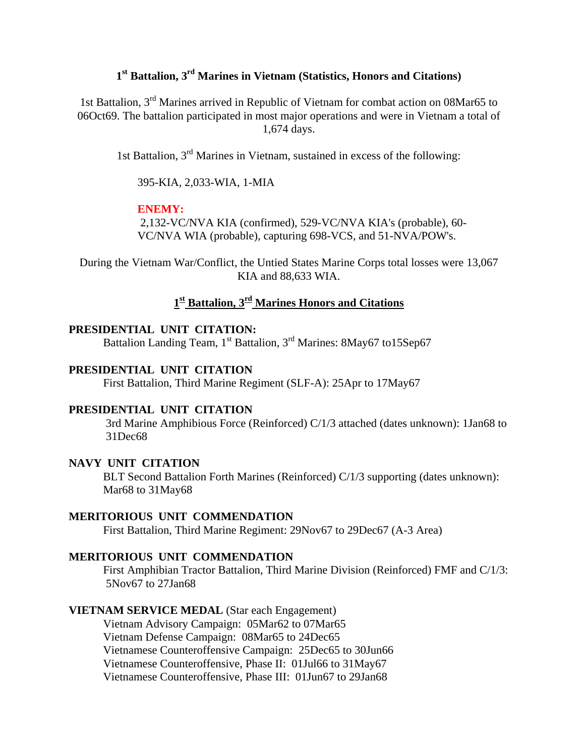# **1st Battalion, 3rd Marines in Vietnam (Statistics, Honors and Citations)**

1st Battalion, 3rd Marines arrived in Republic of Vietnam for combat action on 08Mar65 to 06Oct69. The battalion participated in most major operations and were in Vietnam a total of 1,674 days.

1st Battalion, 3rd Marines in Vietnam, sustained in excess of the following:

395-KIA, 2,033-WIA, 1-MIA

#### **ENEMY:**

 2,132-VC/NVA KIA (confirmed), 529-VC/NVA KIA's (probable), 60- VC/NVA WIA (probable), capturing 698-VCS, and 51-NVA/POW's.

During the Vietnam War/Conflict, the Untied States Marine Corps total losses were 13,067 KIA and 88,633 WIA.

## **1st Battalion, 3rd Marines Honors and Citations**

## **PRESIDENTIAL UNIT CITATION:**

Battalion Landing Team, 1<sup>st</sup> Battalion, 3<sup>rd</sup> Marines: 8May67 to15Sep67

#### **PRESIDENTIAL UNIT CITATION**

First Battalion, Third Marine Regiment (SLF-A): 25Apr to 17May67

#### **PRESIDENTIAL UNIT CITATION**

3rd Marine Amphibious Force (Reinforced) C/1/3 attached (dates unknown): 1Jan68 to 31Dec68

## **NAVY UNIT CITATION**

BLT Second Battalion Forth Marines (Reinforced) C/1/3 supporting (dates unknown): Mar68 to 31May68

### **MERITORIOUS UNIT COMMENDATION**

First Battalion, Third Marine Regiment: 29Nov67 to 29Dec67 (A-3 Area)

#### **MERITORIOUS UNIT COMMENDATION**

 First Amphibian Tractor Battalion, Third Marine Division (Reinforced) FMF and C/1/3: 5Nov67 to 27Jan68

## **VIETNAM SERVICE MEDAL** (Star each Engagement)

 Vietnam Advisory Campaign: 05Mar62 to 07Mar65 Vietnam Defense Campaign: 08Mar65 to 24Dec65 Vietnamese Counteroffensive Campaign: 25Dec65 to 30Jun66 Vietnamese Counteroffensive, Phase II: 01Jul66 to 31May67 Vietnamese Counteroffensive, Phase III: 01Jun67 to 29Jan68